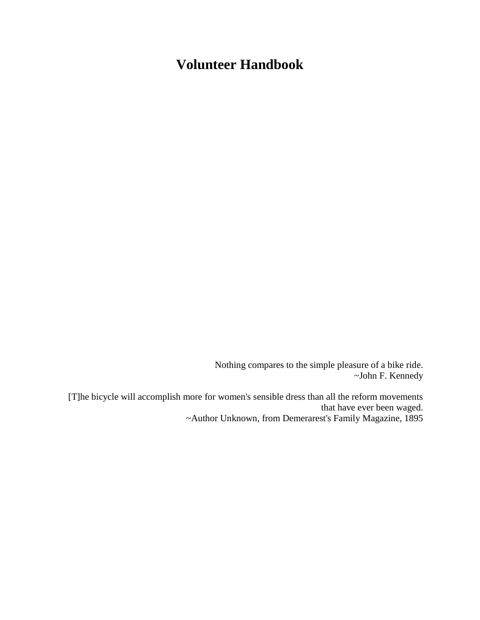# **Volunteer Handbook**

Nothing compares to the simple pleasure of a bike ride. ~John F. Kennedy

[T]he bicycle will accomplish more for women's sensible dress than all the reform movements that have ever been waged. ~Author Unknown, from Demerarest's Family Magazine, 1895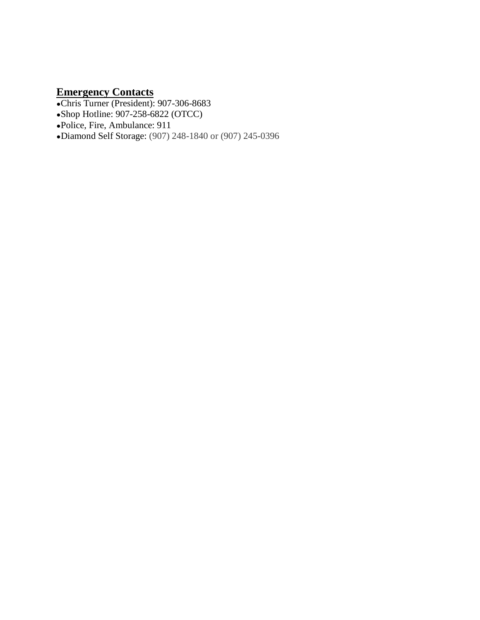### <span id="page-1-0"></span>**Emergency Contacts**

- ●Chris Turner (President): 907-306-8683
- ●Shop Hotline: 907-258-6822 (OTCC)
- ●Police, Fire, Ambulance: 911
- ●Diamond Self Storage: (907) 248-1840 or (907) 245-0396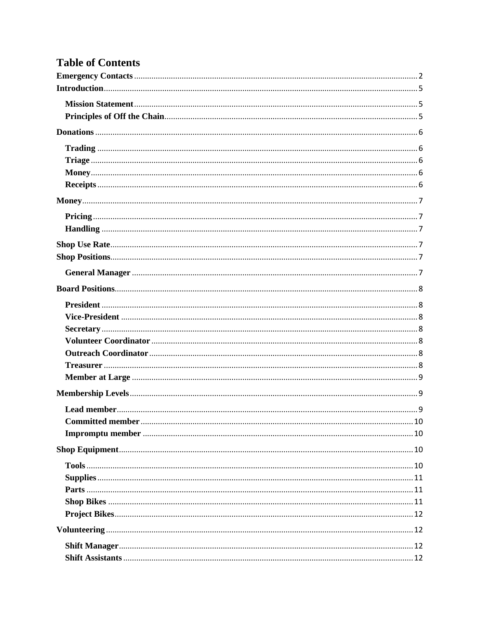# **Table of Contents**

| <b>Committed member</b> | 10 |
|-------------------------|----|
|                         |    |
|                         |    |
|                         |    |
|                         |    |
|                         |    |
|                         |    |
|                         |    |
|                         |    |
|                         |    |
|                         |    |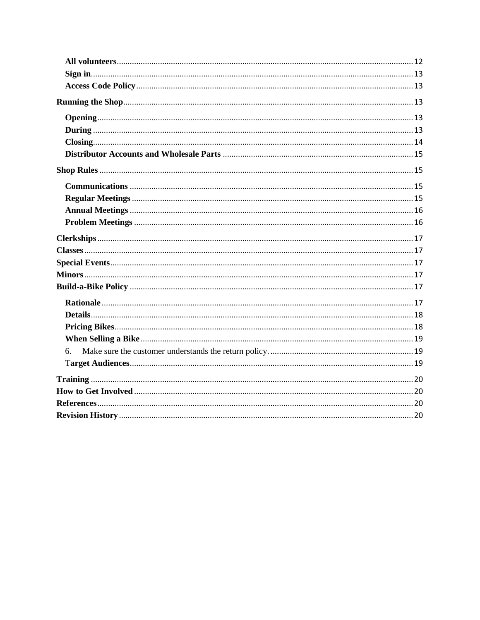| 6. |  |
|----|--|
|    |  |
|    |  |
|    |  |
|    |  |
|    |  |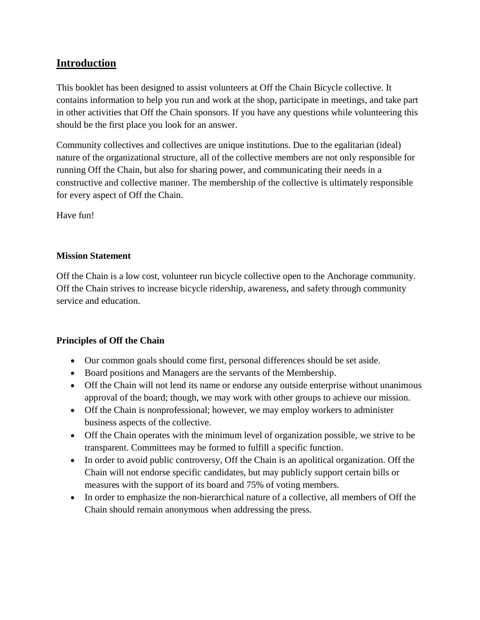# <span id="page-4-0"></span>**Introduction**

This booklet has been designed to assist volunteers at Off the Chain Bicycle collective. It contains information to help you run and work at the shop, participate in meetings, and take part in other activities that Off the Chain sponsors. If you have any questions while volunteering this should be the first place you look for an answer.

Community collectives and collectives are unique institutions. Due to the egalitarian (ideal) nature of the organizational structure, all of the collective members are not only responsible for running Off the Chain, but also for sharing power, and communicating their needs in a constructive and collective manner. The membership of the collective is ultimately responsible for every aspect of Off the Chain.

Have fun!

# <span id="page-4-1"></span>**Mission Statement**

Off the Chain is a low cost, volunteer run bicycle collective open to the Anchorage community. Off the Chain strives to increase bicycle ridership, awareness, and safety through community service and education.

### <span id="page-4-2"></span>**Principles of Off the Chain**

- Our common goals should come first, personal differences should be set aside.
- Board positions and Managers are the servants of the Membership.
- Off the Chain will not lend its name or endorse any outside enterprise without unanimous approval of the board; though, we may work with other groups to achieve our mission.
- Off the Chain is nonprofessional; however, we may employ workers to administer business aspects of the collective.
- Off the Chain operates with the minimum level of organization possible, we strive to be transparent. Committees may be formed to fulfill a specific function.
- In order to avoid public controversy, Off the Chain is an apolitical organization. Off the Chain will not endorse specific candidates, but may publicly support certain bills or measures with the support of its board and 75% of voting members.
- In order to emphasize the non-hierarchical nature of a collective, all members of Off the Chain should remain anonymous when addressing the press.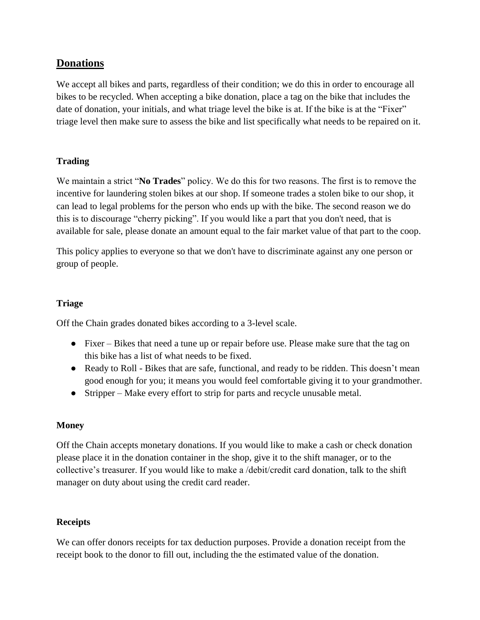# <span id="page-5-0"></span>**Donations**

We accept all bikes and parts, regardless of their condition; we do this in order to encourage all bikes to be recycled. When accepting a bike donation, place a tag on the bike that includes the date of donation, your initials, and what triage level the bike is at. If the bike is at the "Fixer" triage level then make sure to assess the bike and list specifically what needs to be repaired on it.

# <span id="page-5-1"></span>**Trading**

We maintain a strict "**No Trades**" policy. We do this for two reasons. The first is to remove the incentive for laundering stolen bikes at our shop. If someone trades a stolen bike to our shop, it can lead to legal problems for the person who ends up with the bike. The second reason we do this is to discourage "cherry picking". If you would like a part that you don't need, that is available for sale, please donate an amount equal to the fair market value of that part to the coop.

This policy applies to everyone so that we don't have to discriminate against any one person or group of people.

#### <span id="page-5-2"></span>**Triage**

Off the Chain grades donated bikes according to a 3-level scale.

- Fixer Bikes that need a tune up or repair before use. Please make sure that the tag on this bike has a list of what needs to be fixed.
- Ready to Roll Bikes that are safe, functional, and ready to be ridden. This doesn't mean good enough for you; it means you would feel comfortable giving it to your grandmother.
- Stripper Make every effort to strip for parts and recycle unusable metal.

#### <span id="page-5-3"></span>**Money**

Off the Chain accepts monetary donations. If you would like to make a cash or check donation please place it in the donation container in the shop, give it to the shift manager, or to the collective's treasurer. If you would like to make a /debit/credit card donation, talk to the shift manager on duty about using the credit card reader.

#### <span id="page-5-4"></span>**Receipts**

We can offer donors receipts for tax deduction purposes. Provide a donation receipt from the receipt book to the donor to fill out, including the the estimated value of the donation.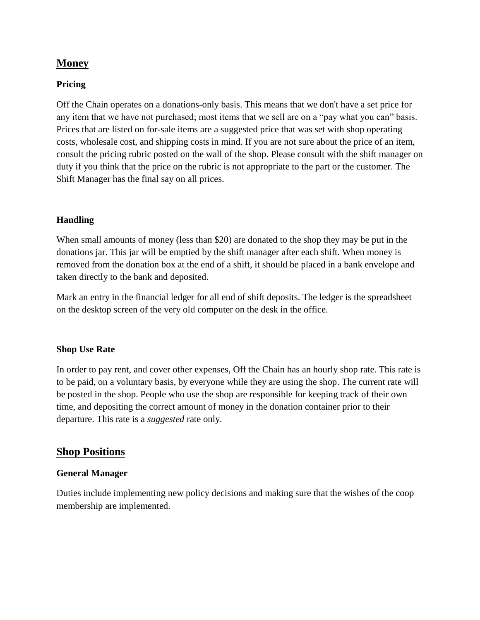# <span id="page-6-0"></span>**Money**

#### <span id="page-6-1"></span>**Pricing**

Off the Chain operates on a donations-only basis. This means that we don't have a set price for any item that we have not purchased; most items that we sell are on a "pay what you can" basis. Prices that are listed on for-sale items are a suggested price that was set with shop operating costs, wholesale cost, and shipping costs in mind. If you are not sure about the price of an item, consult the pricing rubric posted on the wall of the shop. Please consult with the shift manager on duty if you think that the price on the rubric is not appropriate to the part or the customer. The Shift Manager has the final say on all prices.

#### <span id="page-6-2"></span>**Handling**

When small amounts of money (less than \$20) are donated to the shop they may be put in the donations jar. This jar will be emptied by the shift manager after each shift. When money is removed from the donation box at the end of a shift, it should be placed in a bank envelope and taken directly to the bank and deposited.

Mark an entry in the financial ledger for all end of shift deposits. The ledger is the spreadsheet on the desktop screen of the very old computer on the desk in the office.

#### <span id="page-6-3"></span>**Shop Use Rate**

In order to pay rent, and cover other expenses, Off the Chain has an hourly shop rate. This rate is to be paid, on a voluntary basis, by everyone while they are using the shop. The current rate will be posted in the shop. People who use the shop are responsible for keeping track of their own time, and depositing the correct amount of money in the donation container prior to their departure. This rate is a *suggested* rate only.

### <span id="page-6-4"></span>**Shop Positions**

#### <span id="page-6-5"></span>**General Manager**

Duties include implementing new policy decisions and making sure that the wishes of the coop membership are implemented.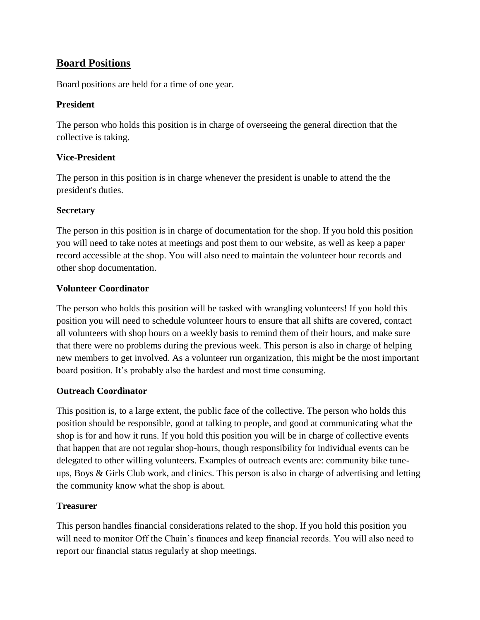# <span id="page-7-0"></span>**Board Positions**

Board positions are held for a time of one year.

### <span id="page-7-1"></span>**President**

The person who holds this position is in charge of overseeing the general direction that the collective is taking.

# <span id="page-7-2"></span>**Vice-President**

The person in this position is in charge whenever the president is unable to attend the the president's duties.

# <span id="page-7-3"></span>**Secretary**

The person in this position is in charge of documentation for the shop. If you hold this position you will need to take notes at meetings and post them to our website, as well as keep a paper record accessible at the shop. You will also need to maintain the volunteer hour records and other shop documentation.

# <span id="page-7-4"></span>**Volunteer Coordinator**

The person who holds this position will be tasked with wrangling volunteers! If you hold this position you will need to schedule volunteer hours to ensure that all shifts are covered, contact all volunteers with shop hours on a weekly basis to remind them of their hours, and make sure that there were no problems during the previous week. This person is also in charge of helping new members to get involved. As a volunteer run organization, this might be the most important board position. It's probably also the hardest and most time consuming.

### <span id="page-7-5"></span>**Outreach Coordinator**

This position is, to a large extent, the public face of the collective. The person who holds this position should be responsible, good at talking to people, and good at communicating what the shop is for and how it runs. If you hold this position you will be in charge of collective events that happen that are not regular shop-hours, though responsibility for individual events can be delegated to other willing volunteers. Examples of outreach events are: community bike tuneups, Boys & Girls Club work, and clinics. This person is also in charge of advertising and letting the community know what the shop is about.

# <span id="page-7-6"></span>**Treasurer**

This person handles financial considerations related to the shop. If you hold this position you will need to monitor Off the Chain's finances and keep financial records. You will also need to report our financial status regularly at shop meetings.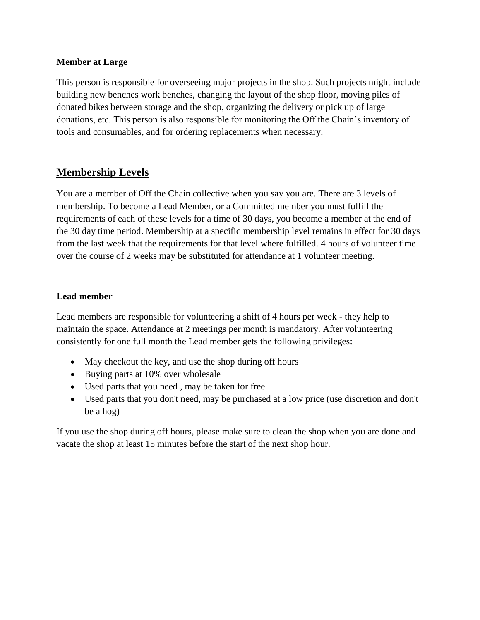#### <span id="page-8-0"></span>**Member at Large**

This person is responsible for overseeing major projects in the shop. Such projects might include building new benches work benches, changing the layout of the shop floor, moving piles of donated bikes between storage and the shop, organizing the delivery or pick up of large donations, etc. This person is also responsible for monitoring the Off the Chain's inventory of tools and consumables, and for ordering replacements when necessary.

# <span id="page-8-1"></span>**Membership Levels**

You are a member of Off the Chain collective when you say you are. There are 3 levels of membership. To become a Lead Member, or a Committed member you must fulfill the requirements of each of these levels for a time of 30 days, you become a member at the end of the 30 day time period. Membership at a specific membership level remains in effect for 30 days from the last week that the requirements for that level where fulfilled. 4 hours of volunteer time over the course of 2 weeks may be substituted for attendance at 1 volunteer meeting.

#### <span id="page-8-2"></span>**Lead member**

Lead members are responsible for volunteering a shift of 4 hours per week - they help to maintain the space. Attendance at 2 meetings per month is mandatory. After volunteering consistently for one full month the Lead member gets the following privileges:

- May checkout the key, and use the shop during off hours
- Buying parts at 10% over wholesale
- Used parts that you need , may be taken for free
- Used parts that you don't need, may be purchased at a low price (use discretion and don't be a hog)

If you use the shop during off hours, please make sure to clean the shop when you are done and vacate the shop at least 15 minutes before the start of the next shop hour.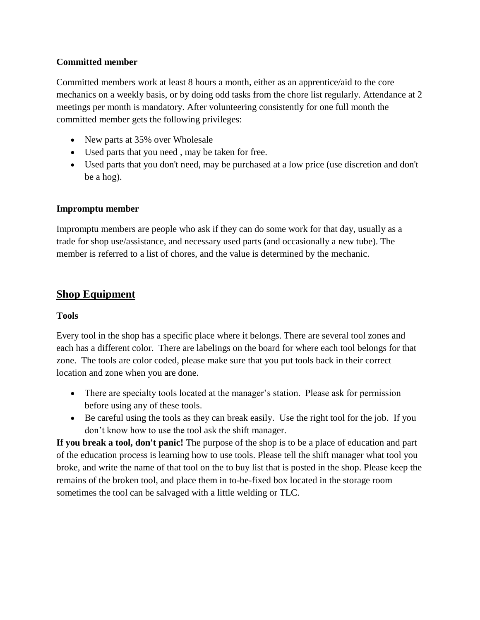### <span id="page-9-0"></span>**Committed member**

Committed members work at least 8 hours a month, either as an apprentice/aid to the core mechanics on a weekly basis, or by doing odd tasks from the chore list regularly. Attendance at 2 meetings per month is mandatory. After volunteering consistently for one full month the committed member gets the following privileges:

- New parts at 35% over Wholesale
- Used parts that you need , may be taken for free.
- Used parts that you don't need, may be purchased at a low price (use discretion and don't be a hog).

### <span id="page-9-1"></span>**Impromptu member**

Impromptu members are people who ask if they can do some work for that day, usually as a trade for shop use/assistance, and necessary used parts (and occasionally a new tube). The member is referred to a list of chores, and the value is determined by the mechanic.

# <span id="page-9-2"></span>**Shop Equipment**

#### <span id="page-9-3"></span>**Tools**

Every tool in the shop has a specific place where it belongs. There are several tool zones and each has a different color. There are labelings on the board for where each tool belongs for that zone. The tools are color coded, please make sure that you put tools back in their correct location and zone when you are done.

- There are specialty tools located at the manager's station. Please ask for permission before using any of these tools.
- Be careful using the tools as they can break easily. Use the right tool for the job. If you don't know how to use the tool ask the shift manager.

**If you break a tool, don't panic!** The purpose of the shop is to be a place of education and part of the education process is learning how to use tools. Please tell the shift manager what tool you broke, and write the name of that tool on the to buy list that is posted in the shop. Please keep the remains of the broken tool, and place them in to-be-fixed box located in the storage room – sometimes the tool can be salvaged with a little welding or TLC.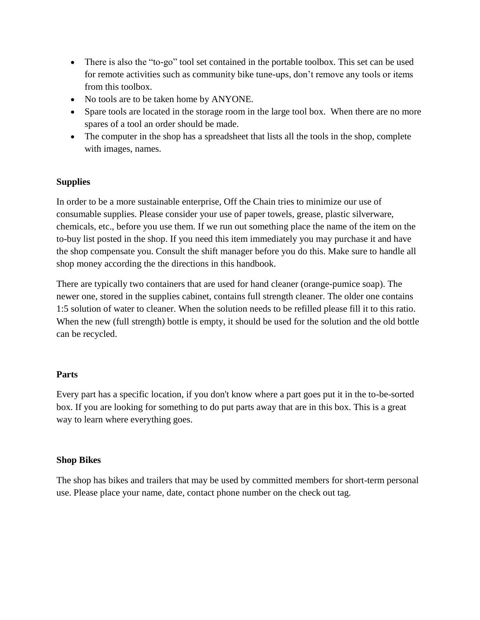- There is also the "to-go" tool set contained in the portable toolbox. This set can be used for remote activities such as community bike tune-ups, don't remove any tools or items from this toolbox.
- No tools are to be taken home by ANYONE.
- Spare tools are located in the storage room in the large tool box. When there are no more spares of a tool an order should be made.
- The computer in the shop has a spreadsheet that lists all the tools in the shop, complete with images, names.

# <span id="page-10-0"></span>**Supplies**

In order to be a more sustainable enterprise, Off the Chain tries to minimize our use of consumable supplies. Please consider your use of paper towels, grease, plastic silverware, chemicals, etc., before you use them. If we run out something place the name of the item on the to-buy list posted in the shop. If you need this item immediately you may purchase it and have the shop compensate you. Consult the shift manager before you do this. Make sure to handle all shop money according the the directions in this handbook.

There are typically two containers that are used for hand cleaner (orange-pumice soap). The newer one, stored in the supplies cabinet, contains full strength cleaner. The older one contains 1:5 solution of water to cleaner. When the solution needs to be refilled please fill it to this ratio. When the new (full strength) bottle is empty, it should be used for the solution and the old bottle can be recycled.

### <span id="page-10-1"></span>**Parts**

Every part has a specific location, if you don't know where a part goes put it in the to-be-sorted box. If you are looking for something to do put parts away that are in this box. This is a great way to learn where everything goes.

### <span id="page-10-2"></span>**Shop Bikes**

The shop has bikes and trailers that may be used by committed members for short-term personal use. Please place your name, date, contact phone number on the check out tag.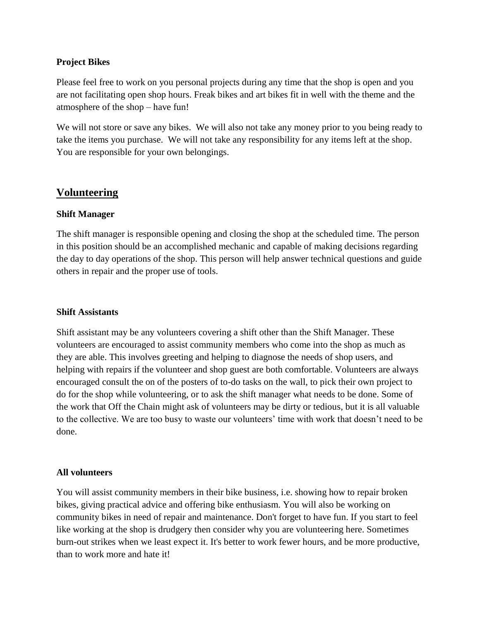#### <span id="page-11-0"></span>**Project Bikes**

Please feel free to work on you personal projects during any time that the shop is open and you are not facilitating open shop hours. Freak bikes and art bikes fit in well with the theme and the atmosphere of the shop – have fun!

We will not store or save any bikes. We will also not take any money prior to you being ready to take the items you purchase. We will not take any responsibility for any items left at the shop. You are responsible for your own belongings.

# <span id="page-11-1"></span>**Volunteering**

#### <span id="page-11-2"></span>**Shift Manager**

The shift manager is responsible opening and closing the shop at the scheduled time. The person in this position should be an accomplished mechanic and capable of making decisions regarding the day to day operations of the shop. This person will help answer technical questions and guide others in repair and the proper use of tools.

#### <span id="page-11-3"></span>**Shift Assistants**

Shift assistant may be any volunteers covering a shift other than the Shift Manager. These volunteers are encouraged to assist community members who come into the shop as much as they are able. This involves greeting and helping to diagnose the needs of shop users, and helping with repairs if the volunteer and shop guest are both comfortable. Volunteers are always encouraged consult the on of the posters of to-do tasks on the wall, to pick their own project to do for the shop while volunteering, or to ask the shift manager what needs to be done. Some of the work that Off the Chain might ask of volunteers may be dirty or tedious, but it is all valuable to the collective. We are too busy to waste our volunteers' time with work that doesn't need to be done.

#### <span id="page-11-4"></span>**All volunteers**

You will assist community members in their bike business, i.e. showing how to repair broken bikes, giving practical advice and offering bike enthusiasm. You will also be working on community bikes in need of repair and maintenance. Don't forget to have fun. If you start to feel like working at the shop is drudgery then consider why you are volunteering here. Sometimes burn-out strikes when we least expect it. It's better to work fewer hours, and be more productive, than to work more and hate it!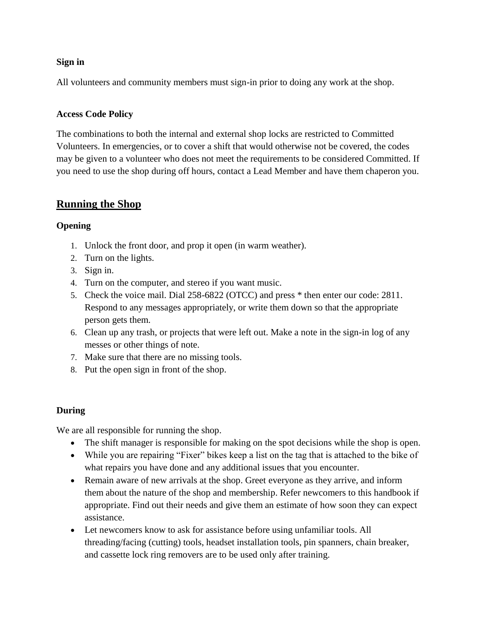### <span id="page-12-0"></span>**Sign in**

All volunteers and community members must sign-in prior to doing any work at the shop.

# <span id="page-12-1"></span>**Access Code Policy**

The combinations to both the internal and external shop locks are restricted to Committed Volunteers. In emergencies, or to cover a shift that would otherwise not be covered, the codes may be given to a volunteer who does not meet the requirements to be considered Committed. If you need to use the shop during off hours, contact a Lead Member and have them chaperon you.

# <span id="page-12-2"></span>**Running the Shop**

### <span id="page-12-3"></span>**Opening**

- 1. Unlock the front door, and prop it open (in warm weather).
- 2. Turn on the lights.
- 3. Sign in.
- 4. Turn on the computer, and stereo if you want music.
- 5. Check the voice mail. Dial 258-6822 (OTCC) and press \* then enter our code: 2811. Respond to any messages appropriately, or write them down so that the appropriate person gets them.
- 6. Clean up any trash, or projects that were left out. Make a note in the sign-in log of any messes or other things of note.
- 7. Make sure that there are no missing tools.
- 8. Put the open sign in front of the shop.

### <span id="page-12-4"></span>**During**

We are all responsible for running the shop.

- The shift manager is responsible for making on the spot decisions while the shop is open.
- While you are repairing "Fixer" bikes keep a list on the tag that is attached to the bike of what repairs you have done and any additional issues that you encounter.
- Remain aware of new arrivals at the shop. Greet everyone as they arrive, and inform them about the nature of the shop and membership. Refer newcomers to this handbook if appropriate. Find out their needs and give them an estimate of how soon they can expect assistance.
- Let newcomers know to ask for assistance before using unfamiliar tools. All threading/facing (cutting) tools, headset installation tools, pin spanners, chain breaker, and cassette lock ring removers are to be used only after training.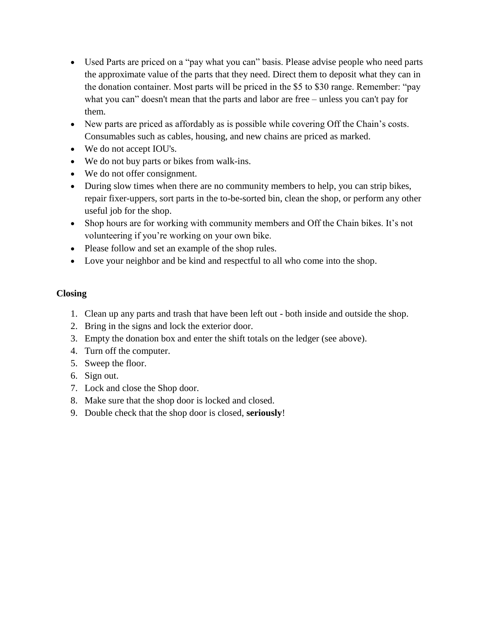- Used Parts are priced on a "pay what you can" basis. Please advise people who need parts the approximate value of the parts that they need. Direct them to deposit what they can in the donation container. Most parts will be priced in the \$5 to \$30 range. Remember: "pay what you can" doesn't mean that the parts and labor are free – unless you can't pay for them.
- New parts are priced as affordably as is possible while covering Off the Chain's costs. Consumables such as cables, housing, and new chains are priced as marked.
- We do not accept IOU's.
- We do not buy parts or bikes from walk-ins.
- We do not offer consignment.
- During slow times when there are no community members to help, you can strip bikes, repair fixer-uppers, sort parts in the to-be-sorted bin, clean the shop, or perform any other useful job for the shop.
- Shop hours are for working with community members and Off the Chain bikes. It's not volunteering if you're working on your own bike.
- Please follow and set an example of the shop rules.
- Love your neighbor and be kind and respectful to all who come into the shop.

# <span id="page-13-0"></span>**Closing**

- 1. Clean up any parts and trash that have been left out both inside and outside the shop.
- 2. Bring in the signs and lock the exterior door.
- 3. Empty the donation box and enter the shift totals on the ledger (see above).
- 4. Turn off the computer.
- 5. Sweep the floor.
- 6. Sign out.
- 7. Lock and close the Shop door.
- 8. Make sure that the shop door is locked and closed.
- <span id="page-13-1"></span>9. Double check that the shop door is closed, **seriously**!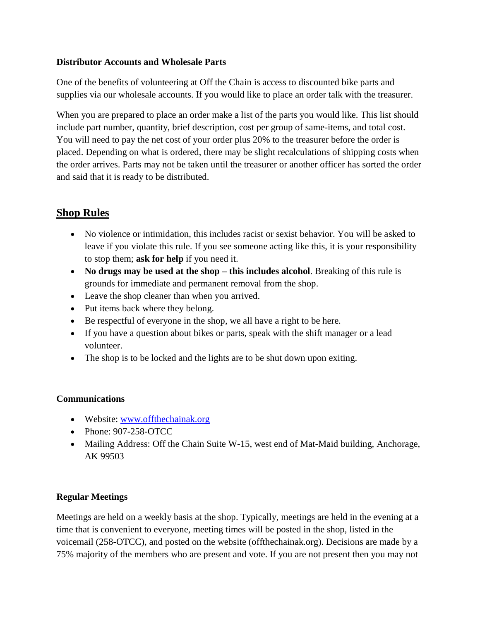### **Distributor Accounts and Wholesale Parts**

One of the benefits of volunteering at Off the Chain is access to discounted bike parts and supplies via our wholesale accounts. If you would like to place an order talk with the treasurer.

When you are prepared to place an order make a list of the parts you would like. This list should include part number, quantity, brief description, cost per group of same-items, and total cost. You will need to pay the net cost of your order plus 20% to the treasurer before the order is placed. Depending on what is ordered, there may be slight recalculations of shipping costs when the order arrives. Parts may not be taken until the treasurer or another officer has sorted the order and said that it is ready to be distributed.

# <span id="page-14-0"></span>**Shop Rules**

- No violence or intimidation, this includes racist or sexist behavior. You will be asked to leave if you violate this rule. If you see someone acting like this, it is your responsibility to stop them; **ask for help** if you need it.
- **No drugs may be used at the shop – this includes alcohol**. Breaking of this rule is grounds for immediate and permanent removal from the shop.
- Leave the shop cleaner than when you arrived.
- Put items back where they belong.
- Be respectful of everyone in the shop, we all have a right to be here.
- If you have a question about bikes or parts, speak with the shift manager or a lead volunteer.
- The shop is to be locked and the lights are to be shut down upon exiting.

# <span id="page-14-1"></span>**Communications**

- Website: [www.offthechainak.org](http://www.offthechainak.org/)
- Phone: 907-258-OTCC
- Mailing Address: Off the Chain Suite W-15, west end of Mat-Maid building, Anchorage, AK 99503

# <span id="page-14-2"></span>**Regular Meetings**

Meetings are held on a weekly basis at the shop. Typically, meetings are held in the evening at a time that is convenient to everyone, meeting times will be posted in the shop, listed in the voicemail (258-OTCC), and posted on the website (offthechainak.org). Decisions are made by a 75% majority of the members who are present and vote. If you are not present then you may not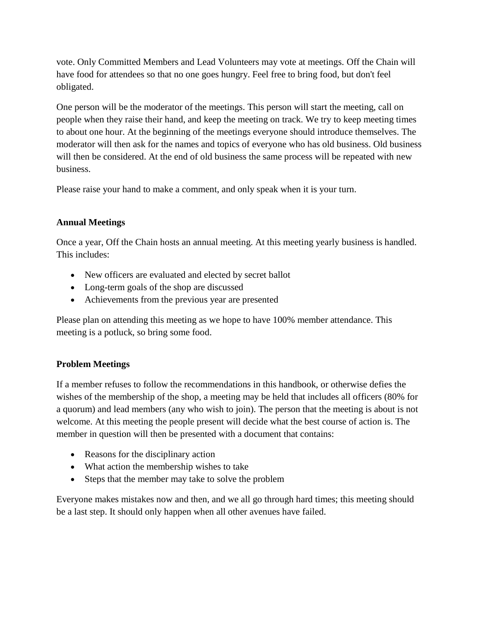vote. Only Committed Members and Lead Volunteers may vote at meetings. Off the Chain will have food for attendees so that no one goes hungry. Feel free to bring food, but don't feel obligated.

One person will be the moderator of the meetings. This person will start the meeting, call on people when they raise their hand, and keep the meeting on track. We try to keep meeting times to about one hour. At the beginning of the meetings everyone should introduce themselves. The moderator will then ask for the names and topics of everyone who has old business. Old business will then be considered. At the end of old business the same process will be repeated with new business.

Please raise your hand to make a comment, and only speak when it is your turn.

# <span id="page-15-0"></span>**Annual Meetings**

Once a year, Off the Chain hosts an annual meeting. At this meeting yearly business is handled. This includes:

- New officers are evaluated and elected by secret ballot
- Long-term goals of the shop are discussed
- Achievements from the previous year are presented

Please plan on attending this meeting as we hope to have 100% member attendance. This meeting is a potluck, so bring some food.

# <span id="page-15-1"></span>**Problem Meetings**

If a member refuses to follow the recommendations in this handbook, or otherwise defies the wishes of the membership of the shop, a meeting may be held that includes all officers (80% for a quorum) and lead members (any who wish to join). The person that the meeting is about is not welcome. At this meeting the people present will decide what the best course of action is. The member in question will then be presented with a document that contains:

- Reasons for the disciplinary action
- What action the membership wishes to take
- Steps that the member may take to solve the problem

<span id="page-15-2"></span>Everyone makes mistakes now and then, and we all go through hard times; this meeting should be a last step. It should only happen when all other avenues have failed.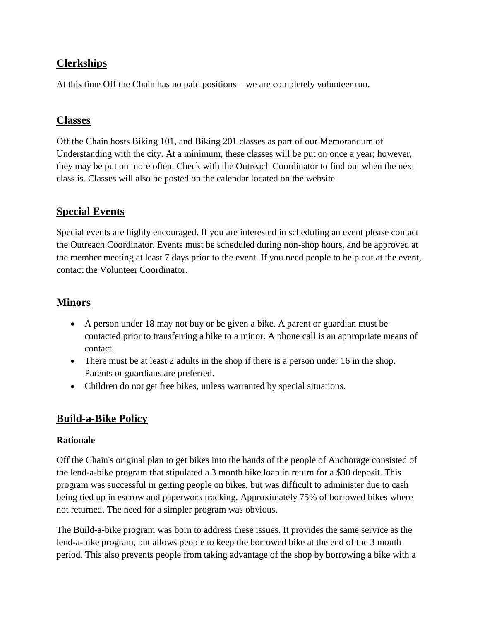# **Clerkships**

At this time Off the Chain has no paid positions – we are completely volunteer run.

# <span id="page-16-0"></span>**Classes**

Off the Chain hosts Biking 101, and Biking 201 classes as part of our Memorandum of Understanding with the city. At a minimum, these classes will be put on once a year; however, they may be put on more often. Check with the Outreach Coordinator to find out when the next class is. Classes will also be posted on the calendar located on the website.

# <span id="page-16-1"></span>**Special Events**

Special events are highly encouraged. If you are interested in scheduling an event please contact the Outreach Coordinator. Events must be scheduled during non-shop hours, and be approved at the member meeting at least 7 days prior to the event. If you need people to help out at the event, contact the Volunteer Coordinator.

# <span id="page-16-2"></span>**Minors**

- A person under 18 may not buy or be given a bike. A parent or guardian must be contacted prior to transferring a bike to a minor. A phone call is an appropriate means of contact.
- There must be at least 2 adults in the shop if there is a person under 16 in the shop. Parents or guardians are preferred.
- Children do not get free bikes, unless warranted by special situations.

# <span id="page-16-3"></span>**Build-a-Bike Policy**

### <span id="page-16-4"></span>**Rationale**

Off the Chain's original plan to get bikes into the hands of the people of Anchorage consisted of the lend-a-bike program that stipulated a 3 month bike loan in return for a \$30 deposit. This program was successful in getting people on bikes, but was difficult to administer due to cash being tied up in escrow and paperwork tracking. Approximately 75% of borrowed bikes where not returned. The need for a simpler program was obvious.

The Build-a-bike program was born to address these issues. It provides the same service as the lend-a-bike program, but allows people to keep the borrowed bike at the end of the 3 month period. This also prevents people from taking advantage of the shop by borrowing a bike with a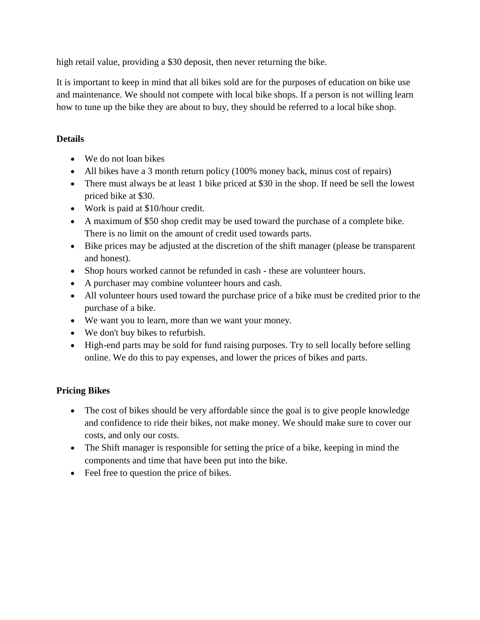high retail value, providing a \$30 deposit, then never returning the bike.

It is important to keep in mind that all bikes sold are for the purposes of education on bike use and maintenance. We should not compete with local bike shops. If a person is not willing learn how to tune up the bike they are about to buy, they should be referred to a local bike shop.

# <span id="page-17-0"></span>**Details**

- We do not loan bikes
- All bikes have a 3 month return policy (100% money back, minus cost of repairs)
- There must always be at least 1 bike priced at \$30 in the shop. If need be sell the lowest priced bike at \$30.
- Work is paid at \$10/hour credit.
- A maximum of \$50 shop credit may be used toward the purchase of a complete bike. There is no limit on the amount of credit used towards parts.
- Bike prices may be adjusted at the discretion of the shift manager (please be transparent and honest).
- Shop hours worked cannot be refunded in cash these are volunteer hours.
- A purchaser may combine volunteer hours and cash.
- All volunteer hours used toward the purchase price of a bike must be credited prior to the purchase of a bike.
- We want you to learn, more than we want your money.
- We don't buy bikes to refurbish.
- High-end parts may be sold for fund raising purposes. Try to sell locally before selling online. We do this to pay expenses, and lower the prices of bikes and parts.

# <span id="page-17-1"></span>**Pricing Bikes**

- The cost of bikes should be very affordable since the goal is to give people knowledge and confidence to ride their bikes, not make money. We should make sure to cover our costs, and only our costs.
- The Shift manager is responsible for setting the price of a bike, keeping in mind the components and time that have been put into the bike.
- <span id="page-17-2"></span>• Feel free to question the price of bikes.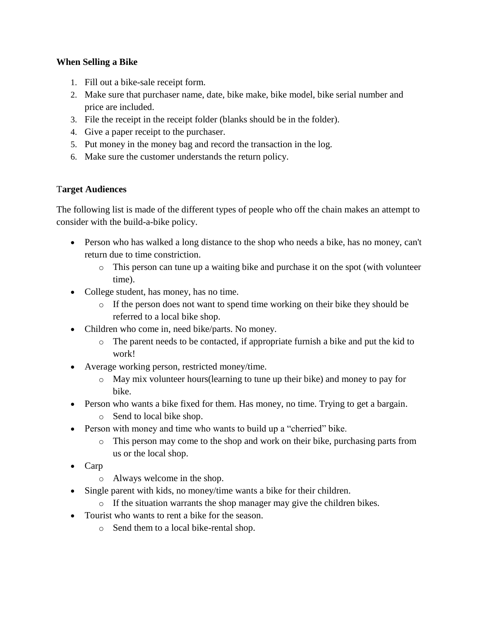### **When Selling a Bike**

- 1. Fill out a bike-sale receipt form.
- 2. Make sure that purchaser name, date, bike make, bike model, bike serial number and price are included.
- 3. File the receipt in the receipt folder (blanks should be in the folder).
- 4. Give a paper receipt to the purchaser.
- 5. Put money in the money bag and record the transaction in the log.
- <span id="page-18-0"></span>6. Make sure the customer understands the return policy.

### <span id="page-18-1"></span>T**arget Audiences**

The following list is made of the different types of people who off the chain makes an attempt to consider with the build-a-bike policy.

- Person who has walked a long distance to the shop who needs a bike, has no money, can't return due to time constriction.
	- o This person can tune up a waiting bike and purchase it on the spot (with volunteer time).
- College student, has money, has no time.
	- o If the person does not want to spend time working on their bike they should be referred to a local bike shop.
- Children who come in, need bike/parts. No money.
	- o The parent needs to be contacted, if appropriate furnish a bike and put the kid to work!
- Average working person, restricted money/time.
	- o May mix volunteer hours(learning to tune up their bike) and money to pay for bike.
- Person who wants a bike fixed for them. Has money, no time. Trying to get a bargain.
	- o Send to local bike shop.
- Person with money and time who wants to build up a "cherried" bike.
	- o This person may come to the shop and work on their bike, purchasing parts from us or the local shop.
- Carp
	- o Always welcome in the shop.
- Single parent with kids, no money/time wants a bike for their children.
	- o If the situation warrants the shop manager may give the children bikes.
- Tourist who wants to rent a bike for the season.
	- o Send them to a local bike-rental shop.